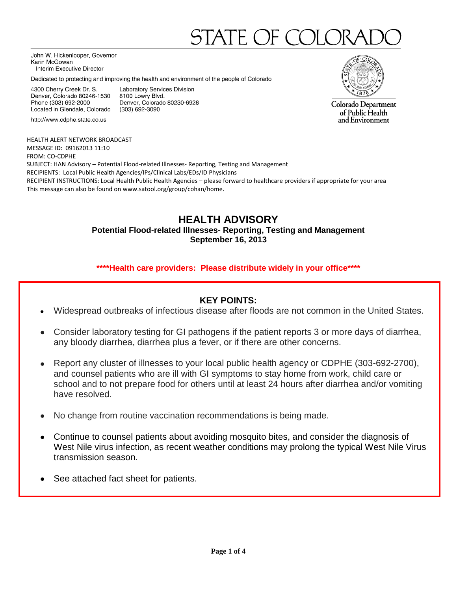# STATE OF CC

John W. Hickenlooper, Governor Karin McGowan Interim Executive Director

Dedicated to protecting and improving the health and environment of the people of Colorado

4300 Cherry Creek Dr. S. Denver, Colorado 80246-1530 Phone (303) 692-2000 Located in Glendale, Colorado

http://www.cdphe.state.co.us

Laboratory Services Division 8100 Lowry Blvd. Denver, Colorado 80230-6928 (303) 692-3090



Colorado Department of Public Health and Environment

HEALTH ALERT NETWORK BROADCAST MESSAGE ID: 09162013 11:10 FROM: CO-CDPHE SUBJECT: HAN Advisory – Potential Flood-related Illnesses- Reporting, Testing and Management RECIPIENTS: Local Public Health Agencies/IPs/Clinical Labs/EDs/ID Physicians RECIPIENT INSTRUCTIONS: Local Health Public Health Agencies – please forward to healthcare providers if appropriate for your area This message can also be found on [www.satool.org/group/cohan/home.](http://www.satool.org/group/cohan/home)

# **HEALTH ADVISORY**

**Potential Flood-related Illnesses- Reporting, Testing and Management September 16, 2013**

#### **\*\*\*\*Health care providers: Please distribute widely in your office\*\*\*\***

#### **KEY POINTS:**

- Widespread outbreaks of infectious disease after floods are not common in the United States.
- Consider laboratory testing for GI pathogens if the patient reports 3 or more days of diarrhea, any bloody diarrhea, diarrhea plus a fever, or if there are other concerns.
- Report any cluster of illnesses to your local public health agency or CDPHE (303-692-2700), and counsel patients who are ill with GI symptoms to stay home from work, child care or school and to not prepare food for others until at least 24 hours after diarrhea and/or vomiting have resolved.
- No change from routine vaccination recommendations is being made.  $\bullet$
- Continue to counsel patients about avoiding mosquito bites, and consider the diagnosis of West Nile virus infection, as recent weather conditions may prolong the typical West Nile Virus transmission season.
- See attached fact sheet for patients.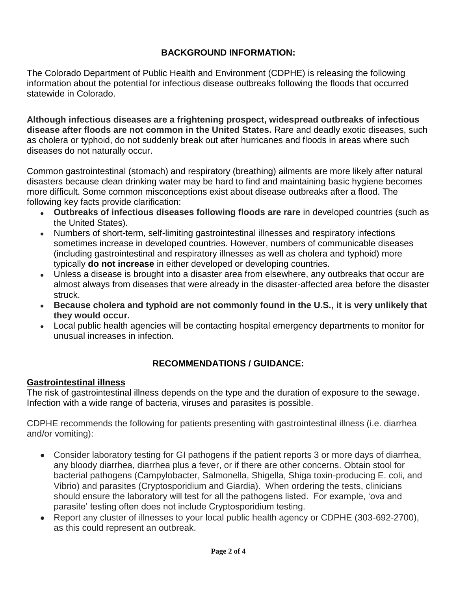## **BACKGROUND INFORMATION:**

The Colorado Department of Public Health and Environment (CDPHE) is releasing the following information about the potential for infectious disease outbreaks following the floods that occurred statewide in Colorado.

**Although infectious diseases are a frightening prospect, widespread outbreaks of infectious disease after floods are not common in the United States.** Rare and deadly exotic diseases, such as cholera or typhoid, do not suddenly break out after hurricanes and floods in areas where such diseases do not naturally occur.

Common gastrointestinal (stomach) and respiratory (breathing) ailments are more likely after natural disasters because clean drinking water may be hard to find and maintaining basic hygiene becomes more difficult. Some common misconceptions exist about disease outbreaks after a flood. The following key facts provide clarification:

- **Outbreaks of infectious diseases following floods are rare** in developed countries (such as the United States).
- Numbers of short-term, self-limiting gastrointestinal illnesses and respiratory infections sometimes increase in developed countries. However, numbers of communicable diseases (including gastrointestinal and respiratory illnesses as well as cholera and typhoid) more typically **do not increase** in either developed or developing countries.
- Unless a disease is brought into a disaster area from elsewhere, any outbreaks that occur are almost always from diseases that were already in the disaster-affected area before the disaster struck.
- **Because cholera and typhoid are not commonly found in the U.S., it is very unlikely that they would occur.**
- Local public health agencies will be contacting hospital emergency departments to monitor for unusual increases in infection.

## **RECOMMENDATIONS / GUIDANCE:**

### **Gastrointestinal illness**

The risk of gastrointestinal illness depends on the type and the duration of exposure to the sewage. Infection with a wide range of bacteria, viruses and parasites is possible.

CDPHE recommends the following for patients presenting with gastrointestinal illness (i.e. diarrhea and/or vomiting):

- Consider laboratory testing for GI pathogens if the patient reports 3 or more days of diarrhea,  $\bullet$ any bloody diarrhea, diarrhea plus a fever, or if there are other concerns. Obtain stool for bacterial pathogens (Campylobacter, Salmonella, Shigella, Shiga toxin-producing E. coli, and Vibrio) and parasites (Cryptosporidium and Giardia). When ordering the tests, clinicians should ensure the laboratory will test for all the pathogens listed. For example, 'ova and parasite' testing often does not include Cryptosporidium testing.
- Report any cluster of illnesses to your local public health agency or CDPHE (303-692-2700), as this could represent an outbreak.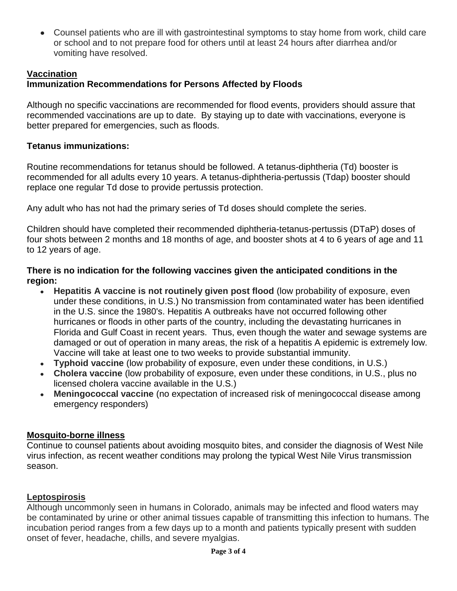Counsel patients who are ill with gastrointestinal symptoms to stay home from work, child care or school and to not prepare food for others until at least 24 hours after diarrhea and/or vomiting have resolved.

## **Vaccination**

# **Immunization Recommendations for Persons Affected by Floods**

Although no specific vaccinations are recommended for flood events, providers should assure that recommended vaccinations are up to date. By staying up to date with vaccinations, everyone is better prepared for emergencies, such as floods.

## **Tetanus immunizations:**

Routine recommendations for tetanus should be followed. A tetanus-diphtheria (Td) booster is recommended for all adults every 10 years. A tetanus-diphtheria-pertussis (Tdap) booster should replace one regular Td dose to provide pertussis protection.

Any adult who has not had the primary series of Td doses should complete the series.

Children should have completed their recommended diphtheria-tetanus-pertussis (DTaP) doses of four shots between 2 months and 18 months of age, and booster shots at 4 to 6 years of age and 11 to 12 years of age.

### **There is no indication for the following vaccines given the anticipated conditions in the region:**

- **Hepatitis A vaccine is not routinely given post flood** (low probability of exposure, even  $\bullet$ under these conditions, in U.S.) No transmission from contaminated water has been identified in the U.S. since the 1980's. Hepatitis A outbreaks have not occurred following other hurricanes or floods in other parts of the country, including the devastating hurricanes in Florida and Gulf Coast in recent years. Thus, even though the water and sewage systems are damaged or out of operation in many areas, the risk of a hepatitis A epidemic is extremely low. Vaccine will take at least one to two weeks to provide substantial immunity.
- **Typhoid vaccine** (low probability of exposure, even under these conditions, in U.S.)
- **Cholera vaccine** (low probability of exposure, even under these conditions, in U.S., plus no licensed cholera vaccine available in the U.S.)
- **Meningococcal vaccine** (no expectation of increased risk of meningococcal disease among emergency responders)

## **Mosquito-borne illness**

Continue to counsel patients about avoiding mosquito bites, and consider the diagnosis of West Nile virus infection, as recent weather conditions may prolong the typical West Nile Virus transmission season.

### **Leptospirosis**

Although uncommonly seen in humans in Colorado, animals may be infected and flood waters may be contaminated by urine or other animal tissues capable of transmitting this infection to humans. The incubation period ranges from a few days up to a month and patients typically present with sudden onset of fever, headache, chills, and severe myalgias.